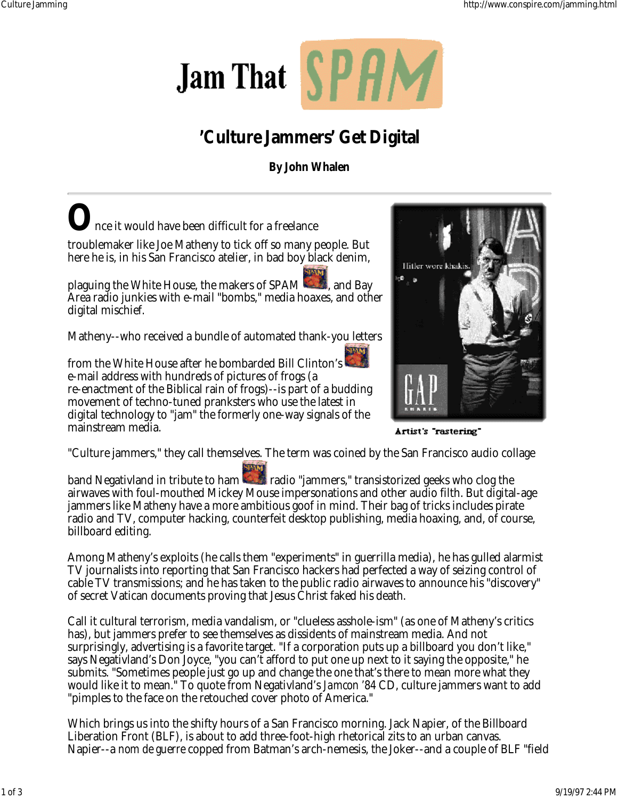

## **'Culture Jammers' Get Digital**

**By John Whalen**

Hitler wore khak



band Negativland in tribute to ham radio "jammers," transistorized geeks who clog the airwaves with foul-mouthed Mickey Mouse impersonations and other audio filth. But digital-age jammers like Matheny have a more ambitious goof in mind. Their bag of tricks includes pirate radio and TV, computer hacking, counterfeit desktop publishing, media hoaxing, and, of course, billboard editing.

Among Matheny's exploits (he calls them "experiments" in guerrilla media), he has gulled alarmist TV journalists into reporting that San Francisco hackers had perfected a way of seizing control of cable TV transmissions; and he has taken to the public radio airwaves to announce his "discovery" of secret Vatican documents proving that Jesus Christ faked his death.

Call it cultural terrorism, media vandalism, or "clueless asshole-ism" (as one of Matheny's critics has), but jammers prefer to see themselves as dissidents of mainstream media. And not surprisingly, advertising is a favorite target. "If a corporation puts up a billboard you don't like," says Negativland's Don Joyce, "you can't afford to put one up next to it saying the opposite," he submits. "Sometimes people just go up and change the one that's there to mean more what they would like it to mean." To quote from Negativland's *Jamcon '84* CD, culture jammers want to add "pimples to the face on the retouched cover photo of America."

Which brings us into the shifty hours of a San Francisco morning. Jack Napier, of the Billboard Liberation Front (BLF), is about to add three-foot-high rhetorical zits to an urban canvas. Napier--a *nom de guerre* copped from Batman's arch-nemesis, the Joker--and a couple of BLF "field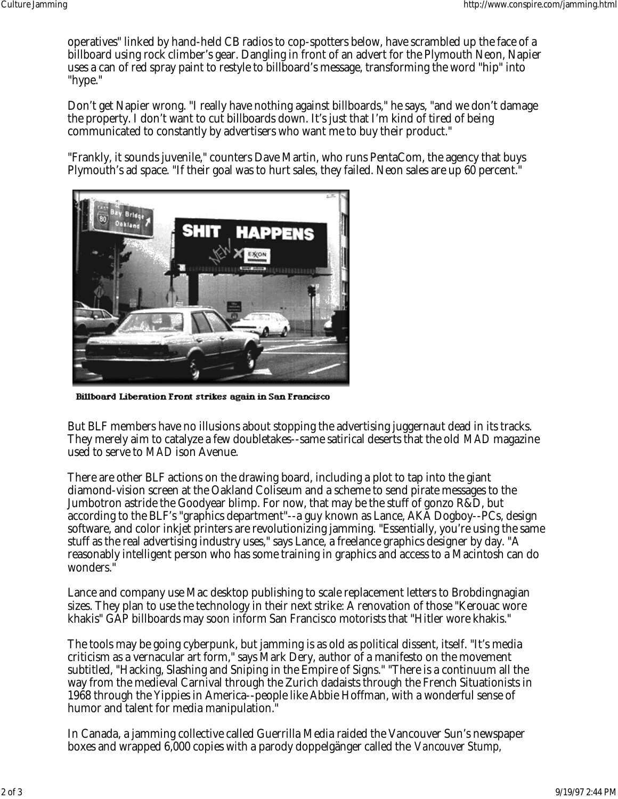operatives" linked by hand-held CB radios to cop-spotters below, have scrambled up the face of a billboard using rock climber's gear. Dangling in front of an advert for the Plymouth Neon, Napier uses a can of red spray paint to restyle to billboard's message, transforming the word "hip" into "hype."

Don't get Napier wrong. "I really have nothing against billboards," he says, "and we don't damage the property. I don't want to cut billboards down. It's just that I'm kind of tired of being communicated to constantly by advertisers who want me to buy their product."

"Frankly, it sounds juvenile," counters Dave Martin, who runs PentaCom, the agency that buys Plymouth's ad space. "If their goal was to hurt sales, they failed. Neon sales are up 60 percent."



Billboard Liberation Front strikes again in San Francisco

But BLF members have no illusions about stopping the advertising juggernaut dead in its tracks. They merely aim to catalyze a few doubletakes--same satirical deserts that the old *MAD* magazine used to serve to *MAD* ison Avenue.

There are other BLF actions on the drawing board, including a plot to tap into the giant diamond-vision screen at the Oakland Coliseum and a scheme to send pirate messages to the Jumbotron astride the Goodyear blimp. For now, that may be the stuff of gonzo R&D, but according to the BLF's "graphics department"--a guy known as Lance, AKA Dogboy--PCs, design software, and color inkjet printers are revolutionizing jamming. "Essentially, you're using the same stuff as the real advertising industry uses," says Lance, a freelance graphics designer by day. "A reasonably intelligent person who has some training in graphics and access to a Macintosh can do wonders."

Lance and company use Mac desktop publishing to scale replacement letters to Brobdingnagian sizes. They plan to use the technology in their next strike: A renovation of those "Kerouac wore khakis" GAP billboards may soon inform San Francisco motorists that "Hitler wore khakis."

The tools may be going cyberpunk, but jamming is as old as political dissent, itself. "It's media criticism as a vernacular art form," says Mark Dery, author of a manifesto on the movement subtitled, "Hacking, Slashing and Sniping in the Empire of Signs." "There is a continuum all the way from the medieval Carnival through the Zurich dadaists through the French Situationists in 1968 through the Yippies in America--people like Abbie Hoffman, with a wonderful sense of humor and talent for media manipulation."

In Canada, a jamming collective called Guerrilla Media raided the Vancouver Sun's newspaper boxes and wrapped 6,000 copies with a parody doppelgänger called the *Vancouver Stump,*